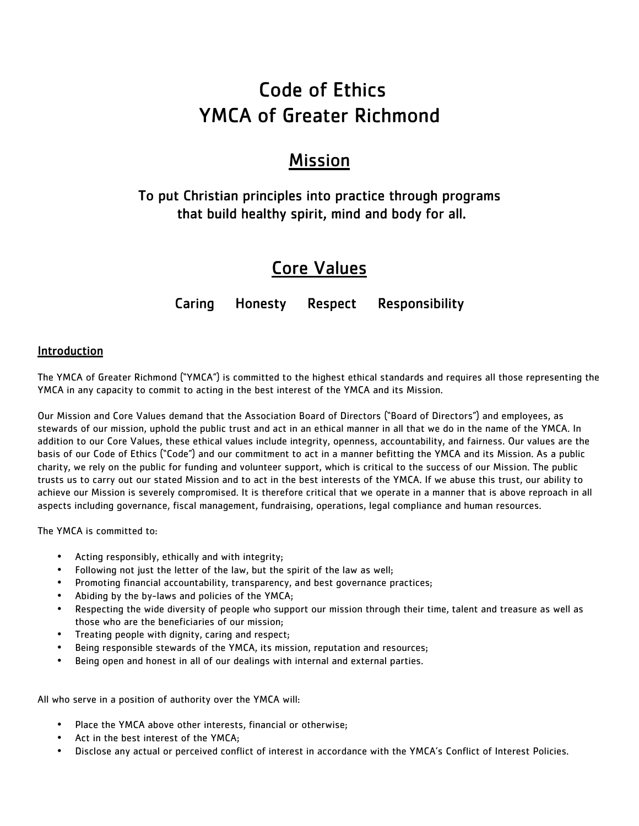# Code of Ethics YMCA of Greater Richmond

## Mission

## To put Christian principles into practice through programs that build healthy spirit, mind and body for all.

## Core Values

Caring Honesty Respect Responsibility

#### Introduction

The YMCA of Greater Richmond ("YMCA") is committed to the highest ethical standards and requires all those representing the YMCA in any capacity to commit to acting in the best interest of the YMCA and its Mission.

Our Mission and Core Values demand that the Association Board of Directors ("Board of Directors") and employees, as stewards of our mission, uphold the public trust and act in an ethical manner in all that we do in the name of the YMCA. In addition to our Core Values, these ethical values include integrity, openness, accountability, and fairness. Our values are the basis of our Code of Ethics ("Code") and our commitment to act in a manner befitting the YMCA and its Mission. As a public charity, we rely on the public for funding and volunteer support, which is critical to the success of our Mission. The public trusts us to carry out our stated Mission and to act in the best interests of the YMCA. If we abuse this trust, our ability to achieve our Mission is severely compromised. It is therefore critical that we operate in a manner that is above reproach in all aspects including governance, fiscal management, fundraising, operations, legal compliance and human resources.

The YMCA is committed to:

- Acting responsibly, ethically and with integrity;
- Following not just the letter of the law, but the spirit of the law as well;
- Promoting financial accountability, transparency, and best governance practices;
- Abiding by the by-laws and policies of the YMCA;
- Respecting the wide diversity of people who support our mission through their time, talent and treasure as well as those who are the beneficiaries of our mission;
- Treating people with dignity, caring and respect;
- Being responsible stewards of the YMCA, its mission, reputation and resources;
- Being open and honest in all of our dealings with internal and external parties.

All who serve in a position of authority over the YMCA will:

- Place the YMCA above other interests, financial or otherwise;
- Act in the best interest of the YMCA;
- Disclose any actual or perceived conflict of interest in accordance with the YMCA's Conflict of Interest Policies.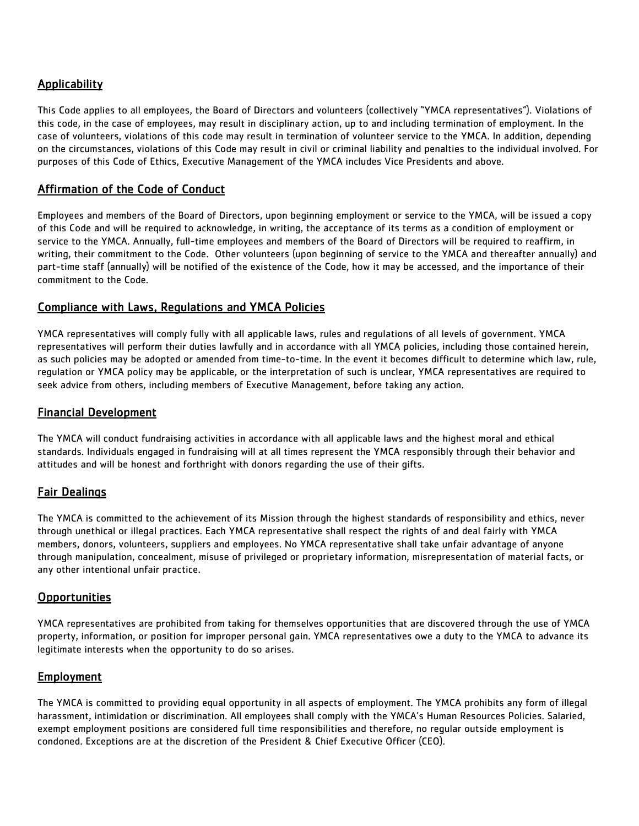### **Applicability**

This Code applies to all employees, the Board of Directors and volunteers (collectively "YMCA representatives"). Violations of this code, in the case of employees, may result in disciplinary action, up to and including termination of employment. In the case of volunteers, violations of this code may result in termination of volunteer service to the YMCA. In addition, depending on the circumstances, violations of this Code may result in civil or criminal liability and penalties to the individual involved. For purposes of this Code of Ethics, Executive Management of the YMCA includes Vice Presidents and above.

### Affirmation of the Code of Conduct

Employees and members of the Board of Directors, upon beginning employment or service to the YMCA, will be issued a copy of this Code and will be required to acknowledge, in writing, the acceptance of its terms as a condition of employment or service to the YMCA. Annually, full-time employees and members of the Board of Directors will be required to reaffirm, in writing, their commitment to the Code. Other volunteers (upon beginning of service to the YMCA and thereafter annually) and part-time staff (annually) will be notified of the existence of the Code, how it may be accessed, and the importance of their commitment to the Code.

#### Compliance with Laws, Regulations and YMCA Policies

YMCA representatives will comply fully with all applicable laws, rules and regulations of all levels of government. YMCA representatives will perform their duties lawfully and in accordance with all YMCA policies, including those contained herein, as such policies may be adopted or amended from time-to-time. In the event it becomes difficult to determine which law, rule, regulation or YMCA policy may be applicable, or the interpretation of such is unclear, YMCA representatives are required to seek advice from others, including members of Executive Management, before taking any action.

#### Financial Development

The YMCA will conduct fundraising activities in accordance with all applicable laws and the highest moral and ethical standards. Individuals engaged in fundraising will at all times represent the YMCA responsibly through their behavior and attitudes and will be honest and forthright with donors regarding the use of their gifts.

#### Fair Dealings

The YMCA is committed to the achievement of its Mission through the highest standards of responsibility and ethics, never through unethical or illegal practices. Each YMCA representative shall respect the rights of and deal fairly with YMCA members, donors, volunteers, suppliers and employees. No YMCA representative shall take unfair advantage of anyone through manipulation, concealment, misuse of privileged or proprietary information, misrepresentation of material facts, or any other intentional unfair practice.

#### **Opportunities**

YMCA representatives are prohibited from taking for themselves opportunities that are discovered through the use of YMCA property, information, or position for improper personal gain. YMCA representatives owe a duty to the YMCA to advance its legitimate interests when the opportunity to do so arises.

#### **Employment**

The YMCA is committed to providing equal opportunity in all aspects of employment. The YMCA prohibits any form of illegal harassment, intimidation or discrimination. All employees shall comply with the YMCA's Human Resources Policies. Salaried, exempt employment positions are considered full time responsibilities and therefore, no regular outside employment is condoned. Exceptions are at the discretion of the President & Chief Executive Officer (CEO).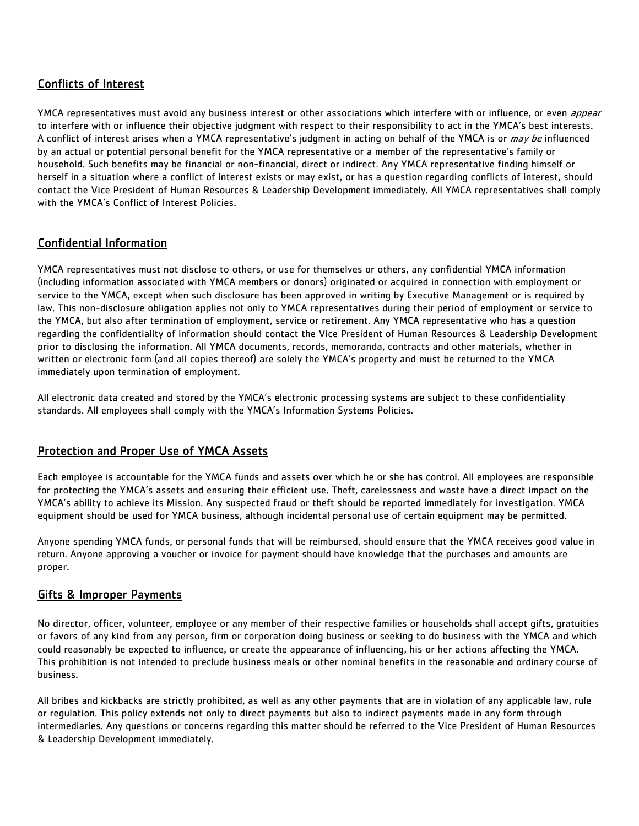## Conflicts of Interest

YMCA representatives must avoid any business interest or other associations which interfere with or influence, or even *appear* to interfere with or influence their objective judgment with respect to their responsibility to act in the YMCA's best interests. A conflict of interest arises when a YMCA representative's judgment in acting on behalf of the YMCA is or *may be* influenced by an actual or potential personal benefit for the YMCA representative or a member of the representative's family or household. Such benefits may be financial or non-financial, direct or indirect. Any YMCA representative finding himself or herself in a situation where a conflict of interest exists or may exist, or has a question regarding conflicts of interest, should contact the Vice President of Human Resources & Leadership Development immediately. All YMCA representatives shall comply with the YMCA's Conflict of Interest Policies.

## Confidential Information

YMCA representatives must not disclose to others, or use for themselves or others, any confidential YMCA information (including information associated with YMCA members or donors) originated or acquired in connection with employment or service to the YMCA, except when such disclosure has been approved in writing by Executive Management or is required by law. This non-disclosure obligation applies not only to YMCA representatives during their period of employment or service to the YMCA, but also after termination of employment, service or retirement. Any YMCA representative who has a question regarding the confidentiality of information should contact the Vice President of Human Resources & Leadership Development prior to disclosing the information. All YMCA documents, records, memoranda, contracts and other materials, whether in written or electronic form (and all copies thereof) are solely the YMCA's property and must be returned to the YMCA immediately upon termination of employment.

All electronic data created and stored by the YMCA's electronic processing systems are subject to these confidentiality standards. All employees shall comply with the YMCA's Information Systems Policies.

#### Protection and Proper Use of YMCA Assets

Each employee is accountable for the YMCA funds and assets over which he or she has control. All employees are responsible for protecting the YMCA's assets and ensuring their efficient use. Theft, carelessness and waste have a direct impact on the YMCA's ability to achieve its Mission. Any suspected fraud or theft should be reported immediately for investigation. YMCA equipment should be used for YMCA business, although incidental personal use of certain equipment may be permitted.

Anyone spending YMCA funds, or personal funds that will be reimbursed, should ensure that the YMCA receives good value in return. Anyone approving a voucher or invoice for payment should have knowledge that the purchases and amounts are proper.

#### Gifts & Improper Payments

No director, officer, volunteer, employee or any member of their respective families or households shall accept gifts, gratuities or favors of any kind from any person, firm or corporation doing business or seeking to do business with the YMCA and which could reasonably be expected to influence, or create the appearance of influencing, his or her actions affecting the YMCA. This prohibition is not intended to preclude business meals or other nominal benefits in the reasonable and ordinary course of business.

All bribes and kickbacks are strictly prohibited, as well as any other payments that are in violation of any applicable law, rule or regulation. This policy extends not only to direct payments but also to indirect payments made in any form through intermediaries. Any questions or concerns regarding this matter should be referred to the Vice President of Human Resources & Leadership Development immediately.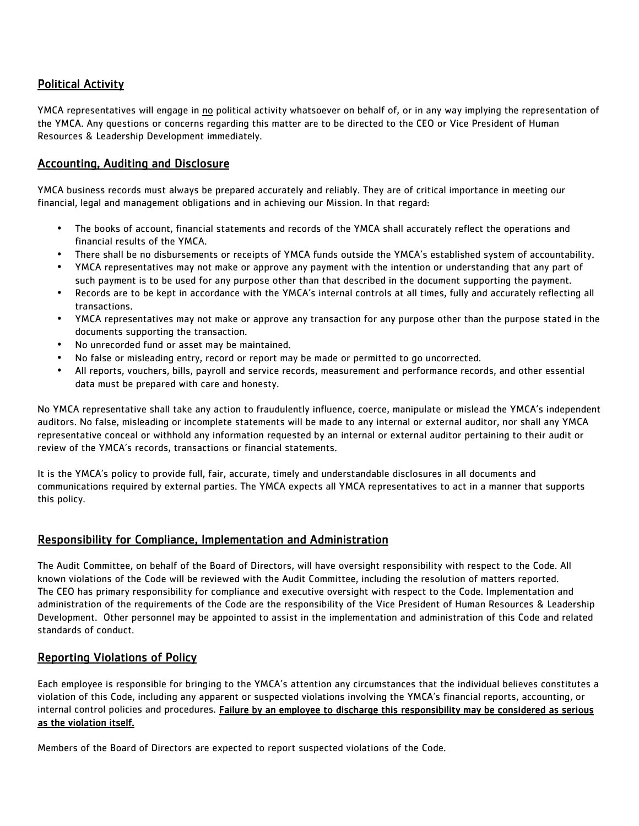### Political Activity

YMCA representatives will engage in no political activity whatsoever on behalf of, or in any way implying the representation of the YMCA. Any questions or concerns regarding this matter are to be directed to the CEO or Vice President of Human Resources & Leadership Development immediately.

#### Accounting, Auditing and Disclosure

YMCA business records must always be prepared accurately and reliably. They are of critical importance in meeting our financial, legal and management obligations and in achieving our Mission. In that regard:

- The books of account, financial statements and records of the YMCA shall accurately reflect the operations and financial results of the YMCA.
- There shall be no disbursements or receipts of YMCA funds outside the YMCA's established system of accountability.
- YMCA representatives may not make or approve any payment with the intention or understanding that any part of such payment is to be used for any purpose other than that described in the document supporting the payment.
- Records are to be kept in accordance with the YMCA's internal controls at all times, fully and accurately reflecting all transactions.
- YMCA representatives may not make or approve any transaction for any purpose other than the purpose stated in the documents supporting the transaction.
- No unrecorded fund or asset may be maintained.
- No false or misleading entry, record or report may be made or permitted to go uncorrected.
- All reports, vouchers, bills, payroll and service records, measurement and performance records, and other essential data must be prepared with care and honesty.

No YMCA representative shall take any action to fraudulently influence, coerce, manipulate or mislead the YMCA's independent auditors. No false, misleading or incomplete statements will be made to any internal or external auditor, nor shall any YMCA representative conceal or withhold any information requested by an internal or external auditor pertaining to their audit or review of the YMCA's records, transactions or financial statements.

It is the YMCA's policy to provide full, fair, accurate, timely and understandable disclosures in all documents and communications required by external parties. The YMCA expects all YMCA representatives to act in a manner that supports this policy.

#### Responsibility for Compliance, Implementation and Administration

The Audit Committee, on behalf of the Board of Directors, will have oversight responsibility with respect to the Code. All known violations of the Code will be reviewed with the Audit Committee, including the resolution of matters reported. The CEO has primary responsibility for compliance and executive oversight with respect to the Code. Implementation and administration of the requirements of the Code are the responsibility of the Vice President of Human Resources & Leadership Development. Other personnel may be appointed to assist in the implementation and administration of this Code and related standards of conduct.

#### Reporting Violations of Policy

Each employee is responsible for bringing to the YMCA's attention any circumstances that the individual believes constitutes a violation of this Code, including any apparent or suspected violations involving the YMCA's financial reports, accounting, or internal control policies and procedures. Failure by an employee to discharge this responsibility may be considered as serious as the violation itself.

Members of the Board of Directors are expected to report suspected violations of the Code.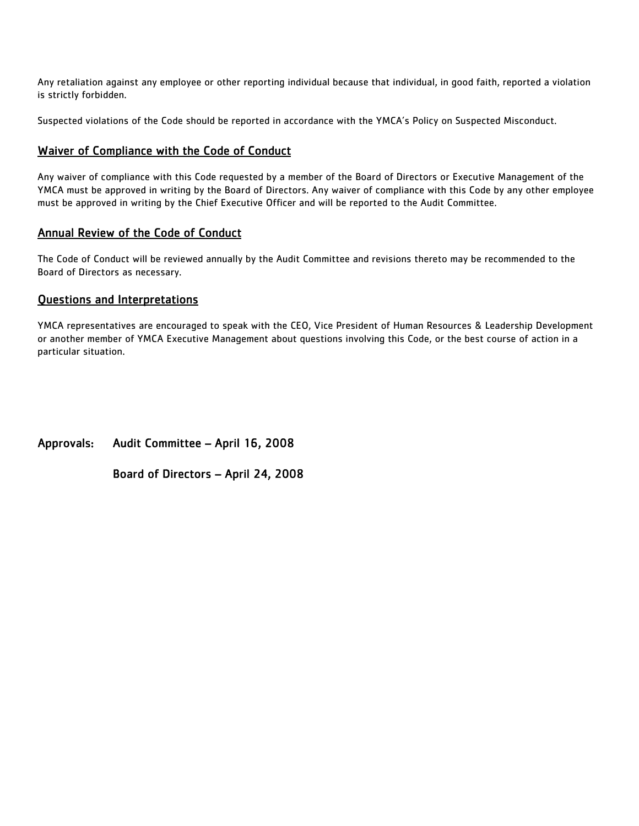Any retaliation against any employee or other reporting individual because that individual, in good faith, reported a violation is strictly forbidden.

Suspected violations of the Code should be reported in accordance with the YMCA's Policy on Suspected Misconduct.

### Waiver of Compliance with the Code of Conduct

Any waiver of compliance with this Code requested by a member of the Board of Directors or Executive Management of the YMCA must be approved in writing by the Board of Directors. Any waiver of compliance with this Code by any other employee must be approved in writing by the Chief Executive Officer and will be reported to the Audit Committee.

#### Annual Review of the Code of Conduct

The Code of Conduct will be reviewed annually by the Audit Committee and revisions thereto may be recommended to the Board of Directors as necessary.

#### Questions and Interpretations

YMCA representatives are encouraged to speak with the CEO, Vice President of Human Resources & Leadership Development or another member of YMCA Executive Management about questions involving this Code, or the best course of action in a particular situation.

Approvals: Audit Committee – April 16, 2008

Board of Directors – April 24, 2008